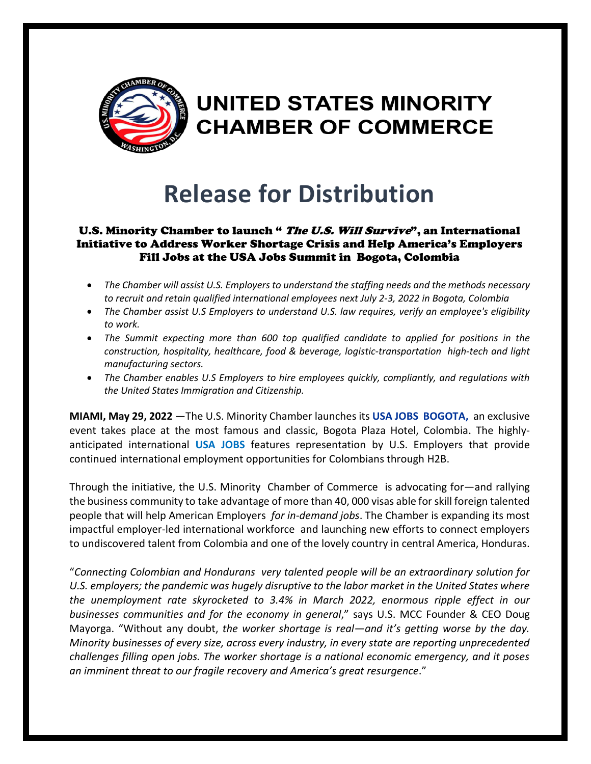

## UNITED STATES MINORITY **CHAMBER OF COMMERCE**

## **Release for Distribution**

## U.S. Minority Chamber to launch " The U.S. Will Survive", an International Initiative to Address Worker Shortage Crisis and Help America's Employers Fill Jobs at the USA Jobs Summit in Bogota, Colombia

- *The Chamber will assist U.S. Employers to understand the staffing needs and the methods necessary to recruit and retain qualified international employees next July 2-3, 2022 in Bogota, Colombia*
- *The Chamber assist U.S Employers to understand U.S. law requires, verify an employee's eligibility to work.*
- *The Summit expecting more than 600 top qualified candidate to applied for positions in the construction, hospitality, healthcare, food & beverage, logistic-transportation high-tech and light manufacturing sectors.*
- *The Chamber enables U.S Employers to hire employees quickly, compliantly, and regulations with the United States Immigration and Citizenship.*

**MIAMI, May 29, 2022** —The U.S. Minority Chamber launches its **USA JOBS BOGOTA,** an exclusive event takes place at the most famous and classic, Bogota Plaza Hotel, Colombia. The highlyanticipated international **USA JOBS** features representation by U.S. Employers that provide continued international employment opportunities for Colombians through H2B.

Through the initiative, the U.S. Minority Chamber of Commerce is advocating for—and rallying the business community to take advantage of more than 40, 000 visas able for skill foreign talented people that will help American Employers *for in-demand jobs*. The Chamber is expanding its most impactful employer-led international workforce and launching new efforts to connect employers to undiscovered talent from Colombia and one of the lovely country in central America, Honduras.

"*Connecting Colombian and Hondurans very talented people will be an extraordinary solution for U.S. employers; the pandemic was hugely disruptive to the labor market in the United States where the unemployment rate skyrocketed to 3.4% in March 2022, enormous ripple effect in our businesses communities and for the economy in general*," says U.S. MCC Founder & CEO Doug Mayorga. "Without any doubt, *the worker shortage is real—and it's getting worse by the day. Minority businesses of every size, across every industry, in every state are reporting unprecedented challenges filling open jobs. The worker shortage is a national economic emergency, and it poses an imminent threat to our fragile recovery and America's great resurgence*."